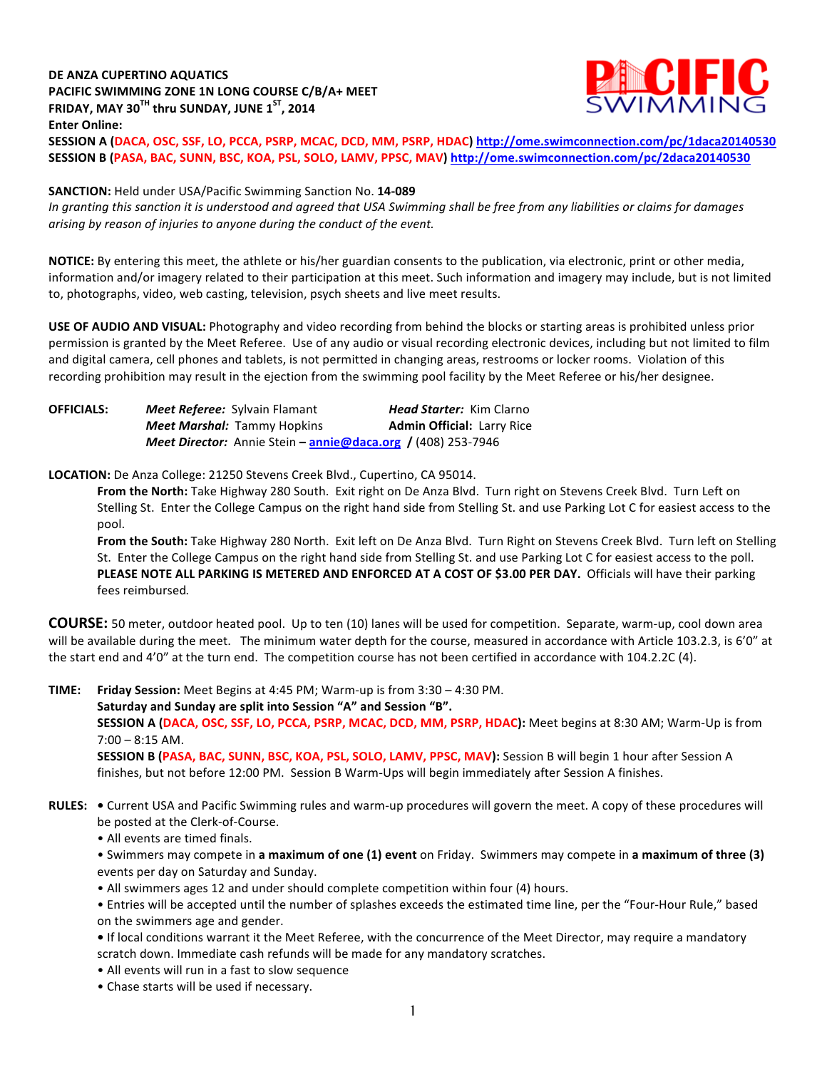# **DE ANZA CUPERTINO AQUATICS PACIFIC SWIMMING ZONE 1N LONG COURSE C/B/A+ MEET FRIDAY, MAY 30<sup>TH</sup> thru SUNDAY, JUNE**  $1^{ST}$ **, 2014 Enter Online:**



**SESSION A (DACA, OSC, SSF, LO, PCCA, PSRP, MCAC, DCD, MM, PSRP, HDAC) http://ome.swimconnection.com/pc/1daca20140530 SESSION B (PASA, BAC, SUNN, BSC, KOA, PSL, SOLO, LAMV, PPSC, MAV) http://ome.swimconnection.com/pc/2daca20140530**

### **SANCTION:** Held under USA/Pacific Swimming Sanction No. 14-089

In granting this sanction it is understood and agreed that USA Swimming shall be free from any liabilities or claims for damages arising by reason of injuries to anyone during the conduct of the event.

NOTICE: By entering this meet, the athlete or his/her guardian consents to the publication, via electronic, print or other media, information and/or imagery related to their participation at this meet. Such information and imagery may include, but is not limited to, photographs, video, web casting, television, psych sheets and live meet results.

**USE OF AUDIO AND VISUAL:** Photography and video recording from behind the blocks or starting areas is prohibited unless prior permission is granted by the Meet Referee. Use of any audio or visual recording electronic devices, including but not limited to film and digital camera, cell phones and tablets, is not permitted in changing areas, restrooms or locker rooms. Violation of this recording prohibition may result in the ejection from the swimming pool facility by the Meet Referee or his/her designee.

| <b>OFFICIALS:</b> | <b>Meet Referee:</b> Sylvain Flamant                                       | <b>Head Starter:</b> Kim Clarno   |
|-------------------|----------------------------------------------------------------------------|-----------------------------------|
|                   | <b>Meet Marshal: Tammy Hopkins</b>                                         | <b>Admin Official: Larry Rice</b> |
|                   | <b>Meet Director:</b> Annie Stein – <b>annie@daca.org</b> / (408) 253-7946 |                                   |

LOCATION: De Anza College: 21250 Stevens Creek Blvd., Cupertino, CA 95014.

From the North: Take Highway 280 South. Exit right on De Anza Blvd. Turn right on Stevens Creek Blvd. Turn Left on Stelling St. Enter the College Campus on the right hand side from Stelling St. and use Parking Lot C for easiest access to the pool. 

From the South: Take Highway 280 North. Exit left on De Anza Blvd. Turn Right on Stevens Creek Blvd. Turn left on Stelling St. Enter the College Campus on the right hand side from Stelling St. and use Parking Lot C for easiest access to the poll. PLEASE NOTE ALL PARKING IS METERED AND ENFORCED AT A COST OF \$3.00 PER DAY. Officials will have their parking fees reimbursed.

**COURSE:** 50 meter, outdoor heated pool. Up to ten (10) lanes will be used for competition. Separate, warm-up, cool down area will be available during the meet. The minimum water depth for the course, measured in accordance with Article 103.2.3, is 6'0" at the start end and  $4'0''$  at the turn end. The competition course has not been certified in accordance with 104.2.2C (4).

**TIME:** Friday Session: Meet Begins at 4:45 PM; Warm-up is from 3:30 – 4:30 PM.

Saturday and Sunday are split into Session "A" and Session "B".

**SESSION A (DACA, OSC, SSF, LO, PCCA, PSRP, MCAC, DCD, MM, PSRP, HDAC):** Meet begins at 8:30 AM; Warm-Up is from  $7:00 - 8:15$  AM.

**SESSION B (PASA, BAC, SUNN, BSC, KOA, PSL, SOLO, LAMV, PPSC, MAV):** Session B will begin 1 hour after Session A finishes, but not before 12:00 PM. Session B Warm-Ups will begin immediately after Session A finishes.

- RULES: . Current USA and Pacific Swimming rules and warm-up procedures will govern the meet. A copy of these procedures will be posted at the Clerk-of-Course.
	- All events are timed finals.

• Swimmers may compete in a maximum of one (1) event on Friday. Swimmers may compete in a maximum of three (3) events per day on Saturday and Sunday.

• All swimmers ages 12 and under should complete competition within four (4) hours.

• Entries will be accepted until the number of splashes exceeds the estimated time line, per the "Four-Hour Rule," based on the swimmers age and gender.

• If local conditions warrant it the Meet Referee, with the concurrence of the Meet Director, may require a mandatory scratch down. Immediate cash refunds will be made for any mandatory scratches.

- All events will run in a fast to slow sequence
- Chase starts will be used if necessary.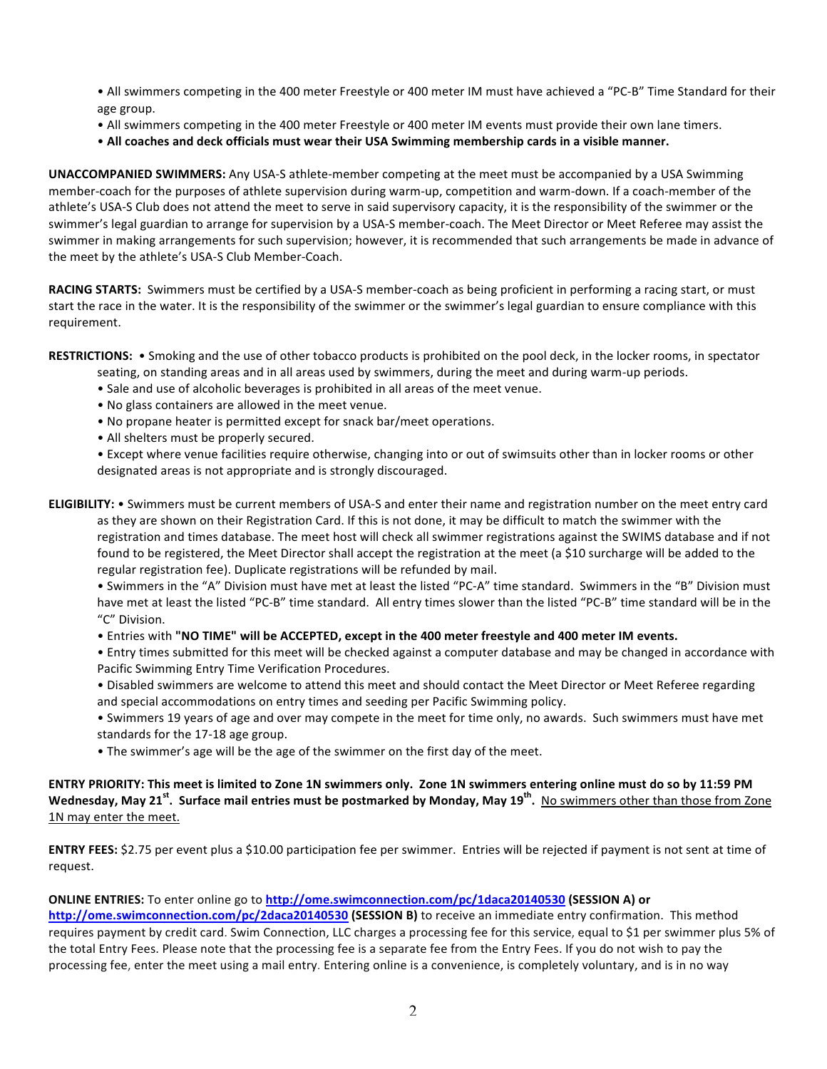• All swimmers competing in the 400 meter Freestyle or 400 meter IM must have achieved a "PC-B" Time Standard for their age group.

- All swimmers competing in the 400 meter Freestyle or 400 meter IM events must provide their own lane timers.
- All coaches and deck officials must wear their USA Swimming membership cards in a visible manner.

**UNACCOMPANIED SWIMMERS:** Any USA-S athlete-member competing at the meet must be accompanied by a USA Swimming member-coach for the purposes of athlete supervision during warm-up, competition and warm-down. If a coach-member of the athlete's USA-S Club does not attend the meet to serve in said supervisory capacity, it is the responsibility of the swimmer or the swimmer's legal guardian to arrange for supervision by a USA-S member-coach. The Meet Director or Meet Referee may assist the swimmer in making arrangements for such supervision; however, it is recommended that such arrangements be made in advance of the meet by the athlete's USA-S Club Member-Coach.

RACING STARTS: Swimmers must be certified by a USA-S member-coach as being proficient in performing a racing start, or must start the race in the water. It is the responsibility of the swimmer or the swimmer's legal guardian to ensure compliance with this requirement.

**RESTRICTIONS:** • Smoking and the use of other tobacco products is prohibited on the pool deck, in the locker rooms, in spectator

- seating, on standing areas and in all areas used by swimmers, during the meet and during warm-up periods.
- Sale and use of alcoholic beverages is prohibited in all areas of the meet venue.
- No glass containers are allowed in the meet venue.
- No propane heater is permitted except for snack bar/meet operations.
- All shelters must be properly secured.

• Except where venue facilities require otherwise, changing into or out of swimsuits other than in locker rooms or other designated areas is not appropriate and is strongly discouraged.

**ELIGIBILITY:** • Swimmers must be current members of USA-S and enter their name and registration number on the meet entry card as they are shown on their Registration Card. If this is not done, it may be difficult to match the swimmer with the registration and times database. The meet host will check all swimmer registrations against the SWIMS database and if not found to be registered, the Meet Director shall accept the registration at the meet (a \$10 surcharge will be added to the regular registration fee). Duplicate registrations will be refunded by mail.

• Swimmers in the "A" Division must have met at least the listed "PC-A" time standard. Swimmers in the "B" Division must have met at least the listed "PC-B" time standard. All entry times slower than the listed "PC-B" time standard will be in the "C" Division. 

• Entries with "NO TIME" will be ACCEPTED, except in the 400 meter freestyle and 400 meter IM events.

• Entry times submitted for this meet will be checked against a computer database and may be changed in accordance with Pacific Swimming Entry Time Verification Procedures.

- Disabled swimmers are welcome to attend this meet and should contact the Meet Director or Meet Referee regarding and special accommodations on entry times and seeding per Pacific Swimming policy.
- Swimmers 19 years of age and over may compete in the meet for time only, no awards. Such swimmers must have met standards for the 17-18 age group.
- The swimmer's age will be the age of the swimmer on the first day of the meet.

## **ENTRY PRIORITY: This meet is limited to Zone 1N swimmers only. Zone 1N swimmers entering online must do so by 11:59 PM** Wednesday, May 21<sup>st</sup>. Surface mail entries must be postmarked by Monday, May 19<sup>th</sup>. No swimmers other than those from Zone 1N may enter the meet.

ENTRY FEES: \$2.75 per event plus a \$10.00 participation fee per swimmer. Entries will be rejected if payment is not sent at time of request.

#### **ONLINE ENTRIES:** To enter online go to http://ome.swimconnection.com/pc/1daca20140530 (SESSION A) or

http://ome.swimconnection.com/pc/2daca20140530 (SESSION B) to receive an immediate entry confirmation. This method requires payment by credit card. Swim Connection, LLC charges a processing fee for this service, equal to \$1 per swimmer plus 5% of the total Entry Fees. Please note that the processing fee is a separate fee from the Entry Fees. If you do not wish to pay the processing fee, enter the meet using a mail entry. Entering online is a convenience, is completely voluntary, and is in no way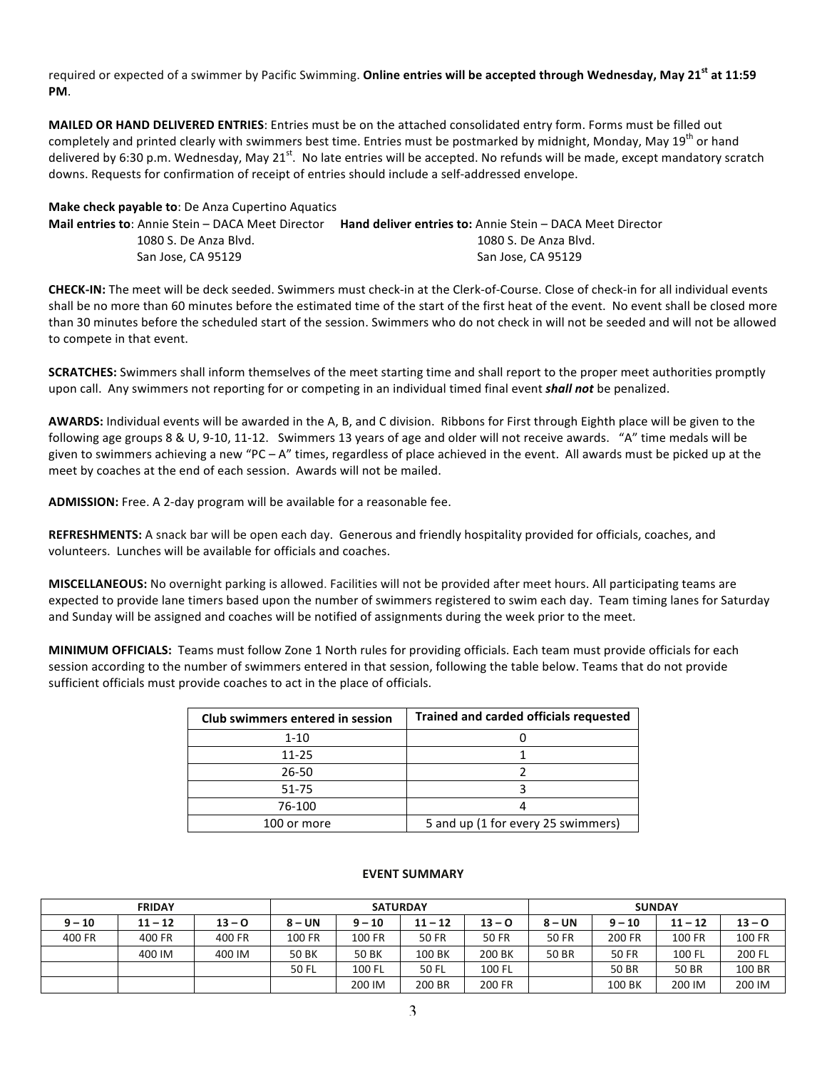required or expected of a swimmer by Pacific Swimming. Online entries will be accepted through Wednesday, May 21<sup>st</sup> at 11:59 **PM**.

**MAILED OR HAND DELIVERED ENTRIES**: Entries must be on the attached consolidated entry form. Forms must be filled out completely and printed clearly with swimmers best time. Entries must be postmarked by midnight, Monday, May 19<sup>th</sup> or hand delivered by 6:30 p.m. Wednesday, May 21<sup>st</sup>. No late entries will be accepted. No refunds will be made, except mandatory scratch downs. Requests for confirmation of receipt of entries should include a self-addressed envelope.

| <b>Make check payable to: De Anza Cupertino Aquatics</b> |                                                                  |  |  |  |  |  |  |  |
|----------------------------------------------------------|------------------------------------------------------------------|--|--|--|--|--|--|--|
| <b>Mail entries to:</b> Annie Stein – DACA Meet Director | <b>Hand deliver entries to:</b> Annie Stein – DACA Meet Director |  |  |  |  |  |  |  |
| 1080 S. De Anza Blyd.                                    | 1080 S. De Anza Blyd.                                            |  |  |  |  |  |  |  |
| San Jose, CA 95129                                       | San Jose. CA 95129                                               |  |  |  |  |  |  |  |

**CHECK-IN:** The meet will be deck seeded. Swimmers must check-in at the Clerk-of-Course. Close of check-in for all individual events shall be no more than 60 minutes before the estimated time of the start of the first heat of the event. No event shall be closed more than 30 minutes before the scheduled start of the session. Swimmers who do not check in will not be seeded and will not be allowed to compete in that event.

**SCRATCHES:** Swimmers shall inform themselves of the meet starting time and shall report to the proper meet authorities promptly upon call. Any swimmers not reporting for or competing in an individual timed final event **shall not** be penalized.

AWARDS: Individual events will be awarded in the A, B, and C division. Ribbons for First through Eighth place will be given to the following age groups 8 & U, 9-10, 11-12. Swimmers 13 years of age and older will not receive awards. "A" time medals will be given to swimmers achieving a new "PC – A" times, regardless of place achieved in the event. All awards must be picked up at the meet by coaches at the end of each session. Awards will not be mailed.

**ADMISSION:** Free. A 2-day program will be available for a reasonable fee.

**REFRESHMENTS:** A snack bar will be open each day. Generous and friendly hospitality provided for officials, coaches, and volunteers. Lunches will be available for officials and coaches.

**MISCELLANEOUS:** No overnight parking is allowed. Facilities will not be provided after meet hours. All participating teams are expected to provide lane timers based upon the number of swimmers registered to swim each day. Team timing lanes for Saturday and Sunday will be assigned and coaches will be notified of assignments during the week prior to the meet.

**MINIMUM OFFICIALS:** Teams must follow Zone 1 North rules for providing officials. Each team must provide officials for each session according to the number of swimmers entered in that session, following the table below. Teams that do not provide sufficient officials must provide coaches to act in the place of officials.

| Club swimmers entered in session | <b>Trained and carded officials requested</b> |
|----------------------------------|-----------------------------------------------|
| $1 - 10$                         |                                               |
| 11-25                            |                                               |
| 26-50                            |                                               |
| 51-75                            |                                               |
| 76-100                           |                                               |
| 100 or more                      | 5 and up (1 for every 25 swimmers)            |

#### **EVENT SUMMARY**

| <b>FRIDAY</b> |           |          | <b>SATURDAY</b>                               |        |              |              | <b>SUNDAY</b> |              |          |        |  |
|---------------|-----------|----------|-----------------------------------------------|--------|--------------|--------------|---------------|--------------|----------|--------|--|
| $9 - 10$      | $11 - 12$ | $13 - 0$ | $8 - UN$<br>$11 - 12$<br>$9 - 10$<br>$13 - 0$ |        |              | $8 - UN$     | $9 - 10$      | $11 - 12$    | $13 - 0$ |        |  |
| 400 FR        | 400 FR    | 400 FR   | 100 FR                                        | 100 FR | <b>50 FR</b> | <b>50 FR</b> | <b>50 FR</b>  | 200 FR       | 100 FR   | 100 FR |  |
|               | 400 IM    | 400 IM   | 50 BK                                         | 50 BK  | 100 BK       | 200 BK       | 50 BR         | <b>50 FR</b> | 100 FL   | 200 FL |  |
|               |           |          | 50 FL                                         | 100 FL | 50 FL        | 100 FL       |               | 50 BR        | 50 BR    | 100 BR |  |
|               |           |          |                                               | 200 IM | 200 BR       | 200 FR       |               | 100 BK       | 200 IM   | 200 IM |  |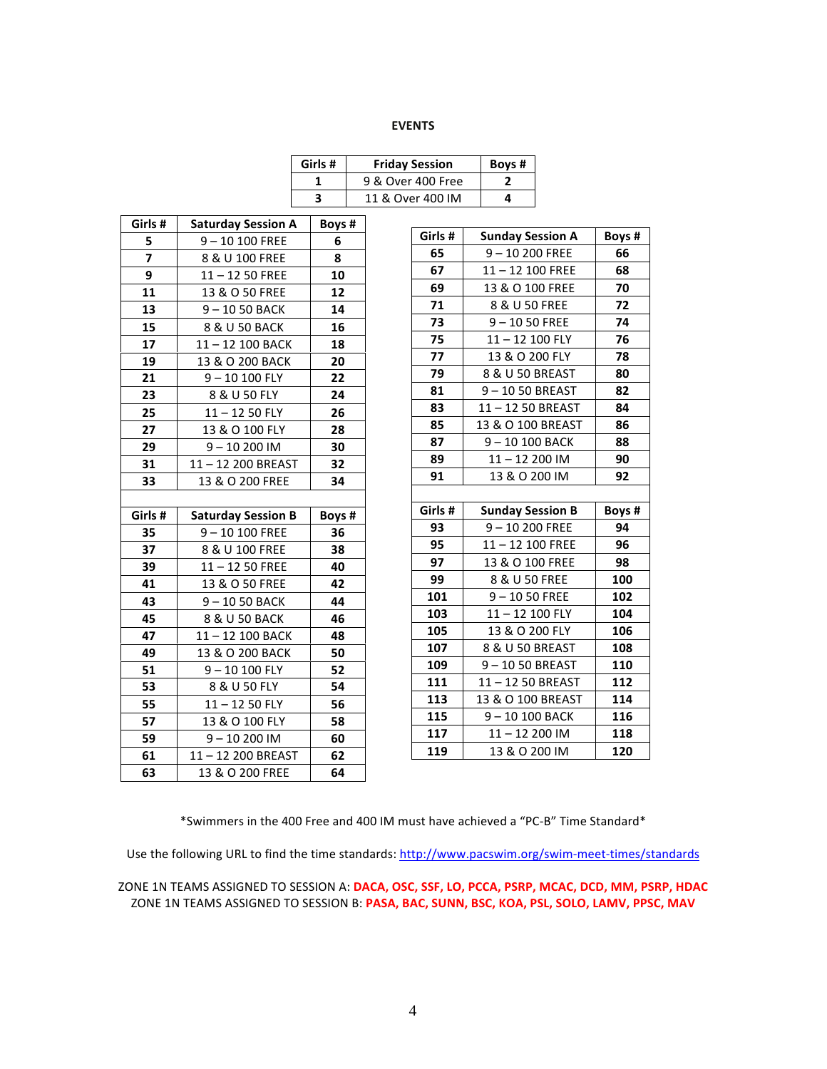### **EVENTS**

| Girls # | <b>Friday Session</b> | Boys# |
|---------|-----------------------|-------|
|         | 9 & Over 400 Free     |       |
|         | 11 & Over 400 IM      |       |

| Girls #        | <b>Saturday Session A</b> | Boys # |
|----------------|---------------------------|--------|
| 5              | 9-10 100 FREE             | 6      |
| $\overline{z}$ | 8 & U 100 FREE            | 8      |
| 9              | $11 - 1250$ FREE          | 10     |
| 11             | 13 & O 50 FREE            | 12     |
| 13             | 9-1050 BACK               | 14     |
| 15             | 8 & U 50 BACK             | 16     |
| 17             | 11-12 100 BACK            | 18     |
| 19             | 13 & O 200 BACK           | 20     |
| 21             | 9-10 100 FLY              | 22     |
| 23             | 8 & U 50 FLY              | 24     |
| 25             | $11 - 1250$ FLY           | 26     |
| 27             | 13 & O 100 FLY            | 28     |
| 29             | 9-10 200 IM               | 30     |
| 31             | 11-12 200 BREAST          | 32     |
| 33             | 13 & O 200 FREE           | 34     |
|                |                           |        |
|                |                           |        |
| Girls #        | <b>Saturday Session B</b> | Boys # |
| 35             | 9-10 100 FREE             | 36     |
| 37             | 8 & U 100 FREE            | 38     |
| 39             | $11 - 1250$ FREE          | 40     |
| 41             | 13 & O 50 FREE            | 42     |
| 43             | 9-1050 BACK               | 44     |
| 45             | 8 & U 50 BACK             | 46     |
| 47             | 11-12 100 BACK            | 48     |
| 49             | 13 & O 200 BACK           | 50     |
| 51             | $9 - 10100$ FLY           | 52     |
| 53             | 8 & U 50 FLY              | 54     |
| 55             | $11 - 1250$ FLY           | 56     |
| 57             | 13 & O 100 FLY            | 58     |
| 59             | $9 - 10200$ IM            | 60     |
| 61             | 11-12 200 BREAST          | 62     |

| Girls # | <b>Sunday Session A</b> | Boys # |
|---------|-------------------------|--------|
| 65      | 9-10 200 FREE           | 66     |
| 67      | 11-12 100 FREE          | 68     |
| 69      | 13 & O 100 FREE         | 70     |
| 71      | 8 & U 50 FREE           | 72     |
| 73      | $9 - 1050$ FREE         | 74     |
| 75      | 11-12 100 FLY           | 76     |
| 77      | 13 & O 200 FLY          | 78     |
| 79      | 8 & U 50 BREAST         | 80     |
| 81      | 9-1050 BREAST           | 82     |
| 83      | 11-12 50 BREAST         | 84     |
| 85      | 13 & O 100 BREAST       | 86     |
| 87      | 9-10 100 BACK           | 88     |
| 89      | $11 - 12200$ IM         | 90     |
| 91      | 13 & O 200 IM           | 92     |
|         |                         |        |
|         |                         |        |
| Girls # | <b>Sunday Session B</b> | Boys # |
| 93      | $9 - 10200$ FREE        | 94     |
| 95      | 11-12 100 FREE          | 96     |
| 97      | 13 & O 100 FREE         | 98     |
| 99      | 8 & U 50 FREE           | 100    |
| 101     | $9 - 1050$ FREE         | 102    |
| 103     | 11-12 100 FLY           | 104    |
| 105     | 13 & O 200 FLY          | 106    |
| 107     | 8 & U 50 BREAST         | 108    |
| 109     | 9-1050 BREAST           | 110    |
| 111     | 11-12 50 BREAST         | 112    |
| 113     | 13 & O 100 BREAST       | 114    |
| 115     | 9-10 100 BACK           | 116    |
| 117     | $11 - 12200$ IM         | 118    |

\*Swimmers in the 400 Free and 400 IM must have achieved a "PC-B" Time Standard\*

Use the following URL to find the time standards: http://www.pacswim.org/swim-meet-times/standards

ZONE 1N TEAMS ASSIGNED TO SESSION A: **DACA, OSC, SSF, LO, PCCA, PSRP, MCAC, DCD, MM, PSRP, HDAC** ZONE 1N TEAMS ASSIGNED TO SESSION B: PASA, BAC, SUNN, BSC, KOA, PSL, SOLO, LAMV, PPSC, MAV